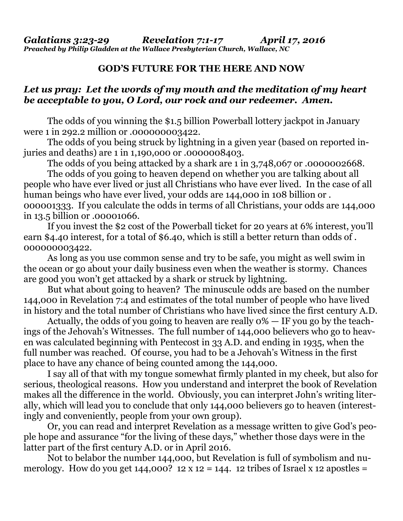## **GOD'S FUTURE FOR THE HERE AND NOW**

## *Let us pray: Let the words of my mouth and the meditation of my heart be acceptable to you, O Lord, our rock and our redeemer. Amen.*

The odds of you winning the \$1.5 billion Powerball lottery jackpot in January were 1 in 292.2 million or .000000003422.

 The odds of you being struck by lightning in a given year (based on reported injuries and deaths) are 1 in 1,190,o00 or .0000008403.

The odds of you being attacked by a shark are 1 in 3,748,067 or .0000002668.

 The odds of you going to heaven depend on whether you are talking about all people who have ever lived or just all Christians who have ever lived. In the case of all human beings who have ever lived, your odds are 144,000 in 108 billion or . 000001333. If you calculate the odds in terms of all Christians, your odds are 144,000 in 13.5 billion or .00001066.

 If you invest the \$2 cost of the Powerball ticket for 20 years at 6% interest, you'll earn \$4.40 interest, for a total of \$6.40, which is still a better return than odds of . 000000003422.

 As long as you use common sense and try to be safe, you might as well swim in the ocean or go about your daily business even when the weather is stormy. Chances are good you won't get attacked by a shark or struck by lightning.

 But what about going to heaven? The minuscule odds are based on the number 144,000 in Revelation 7:4 and estimates of the total number of people who have lived in history and the total number of Christians who have lived since the first century A.D.

 Actually, the odds of you going to heaven are really 0% — IF you go by the teachings of the Jehovah's Witnesses. The full number of 144,000 believers who go to heaven was calculated beginning with Pentecost in 33 A.D. and ending in 1935, when the full number was reached. Of course, you had to be a Jehovah's Witness in the first place to have any chance of being counted among the 144,000.

 I say all of that with my tongue somewhat firmly planted in my cheek, but also for serious, theological reasons. How you understand and interpret the book of Revelation makes all the difference in the world. Obviously, you can interpret John's writing literally, which will lead you to conclude that only 144,000 believers go to heaven (interestingly and conveniently, people from your own group).

 Or, you can read and interpret Revelation as a message written to give God's people hope and assurance "for the living of these days," whether those days were in the latter part of the first century A.D. or in April 2016.

 Not to belabor the number 144,000, but Revelation is full of symbolism and numerology. How do you get  $144,000$ ?  $12 \times 12 = 144$ . 12 tribes of Israel x 12 apostles =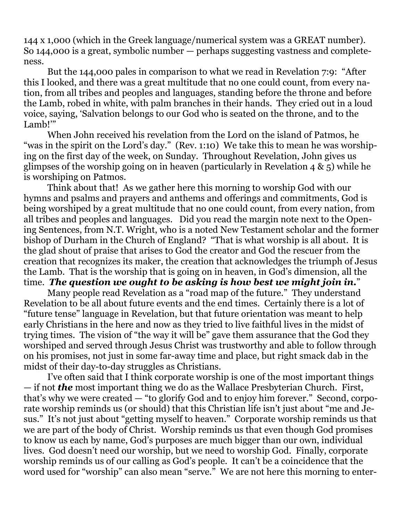144 x 1,000 (which in the Greek language/numerical system was a GREAT number). So 144,000 is a great, symbolic number — perhaps suggesting vastness and completeness.

 But the 144,000 pales in comparison to what we read in Revelation 7:9: "After this I looked, and there was a great multitude that no one could count, from every nation, from all tribes and peoples and languages, standing before the throne and before the Lamb, robed in white, with palm branches in their hands. They cried out in a loud voice, saying, 'Salvation belongs to our God who is seated on the throne, and to the Lamb!'"

 When John received his revelation from the Lord on the island of Patmos, he "was in the spirit on the Lord's day." (Rev. 1:10) We take this to mean he was worshiping on the first day of the week, on Sunday. Throughout Revelation, John gives us glimpses of the worship going on in heaven (particularly in Revelation 4 & 5) while he is worshiping on Patmos.

 Think about that! As we gather here this morning to worship God with our hymns and psalms and prayers and anthems and offerings and commitments, God is being worshiped by a great multitude that no one could count, from every nation, from all tribes and peoples and languages. Did you read the margin note next to the Opening Sentences, from N.T. Wright, who is a noted New Testament scholar and the former bishop of Durham in the Church of England? "That is what worship is all about. It is the glad shout of praise that arises to God the creator and God the rescuer from the creation that recognizes its maker, the creation that acknowledges the triumph of Jesus the Lamb. That is the worship that is going on in heaven, in God's dimension, all the time. *The question we ought to be asking is how best we might join in.*"

 Many people read Revelation as a "road map of the future." They understand Revelation to be all about future events and the end times. Certainly there is a lot of "future tense" language in Revelation, but that future orientation was meant to help early Christians in the here and now as they tried to live faithful lives in the midst of trying times. The vision of "the way it will be" gave them assurance that the God they worshiped and served through Jesus Christ was trustworthy and able to follow through on his promises, not just in some far-away time and place, but right smack dab in the midst of their day-to-day struggles as Christians.

 I've often said that I think corporate worship is one of the most important things — if not *the* most important thing we do as the Wallace Presbyterian Church. First, that's why we were created — "to glorify God and to enjoy him forever." Second, corporate worship reminds us (or should) that this Christian life isn't just about "me and Jesus." It's not just about "getting myself to heaven." Corporate worship reminds us that we are part of the body of Christ. Worship reminds us that even though God promises to know us each by name, God's purposes are much bigger than our own, individual lives. God doesn't need our worship, but we need to worship God. Finally, corporate worship reminds us of our calling as God's people. It can't be a coincidence that the word used for "worship" can also mean "serve." We are not here this morning to enter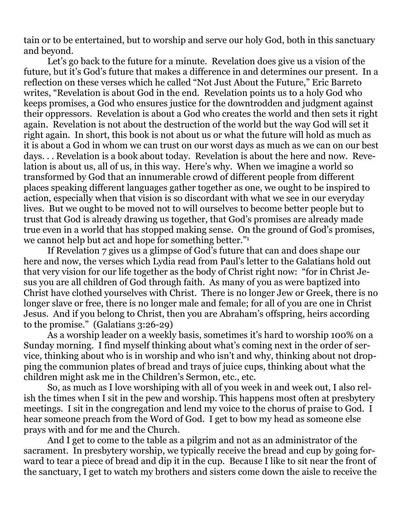tain or to be entertained, but to worship and serve our holy God, both in this sanctuary and beyond.

 Let's go back to the future for a minute. Revelation does give us a vision of the future, but it's God's future that makes a difference in and determines our present. In a reflection on these verses which he called "Not Just About the Future," Eric Barreto writes, "Revelation is about God in the end. Revelation points us to a holy God who keeps promises, a God who ensures justice for the downtrodden and judgment against their oppressors. Revelation is about a God who creates the world and then sets it right again. Revelation is not about the destruction of the world but the way God will set it right again. In short, this book is not about us or what the future will hold as much as it is about a God in whom we can trust on our worst days as much as we can on our best days. . . Revelation is a book about today. Revelation is about the here and now. Revelation is about us, all of us, in this way. Here's why. When we imagine a world so transformed by God that an innumerable crowd of different people from different places speaking different languages gather together as one, we ought to be inspired to action, especially when that vision is so discordant with what we see in our everyday lives. But we ought to be moved not to will ourselves to become better people but to trust that God is already drawing us together, that God's promises are already made true even in a world that has stopped making sense. On the ground of God's promises, we cannot help but act and hope for something better."1

 If Revelation 7 gives us a glimpse of God's future that can and does shape our here and now, the verses which Lydia read from Paul's letter to the Galatians hold out that very vision for our life together as the body of Christ right now: "for in Christ Jesus you are all children of God through faith. As many of you as were baptized into Christ have clothed yourselves with Christ. There is no longer Jew or Greek, there is no longer slave or free, there is no longer male and female; for all of you are one in Christ Jesus. And if you belong to Christ, then you are Abraham's offspring, heirs according to the promise." (Galatians 3:26-29)

 As a worship leader on a weekly basis, sometimes it's hard to worship 100% on a Sunday morning. I find myself thinking about what's coming next in the order of service, thinking about who is in worship and who isn't and why, thinking about not dropping the communion plates of bread and trays of juice cups, thinking about what the children might ask me in the Children's Sermon, etc., etc.

 So, as much as I love worshiping with all of you week in and week out, I also relish the times when I sit in the pew and worship. This happens most often at presbytery meetings. I sit in the congregation and lend my voice to the chorus of praise to God. I hear someone preach from the Word of God. I get to bow my head as someone else prays with and for me and the Church.

 And I get to come to the table as a pilgrim and not as an administrator of the sacrament. In presbytery worship, we typically receive the bread and cup by going forward to tear a piece of bread and dip it in the cup. Because I like to sit near the front of the sanctuary, I get to watch my brothers and sisters come down the aisle to receive the